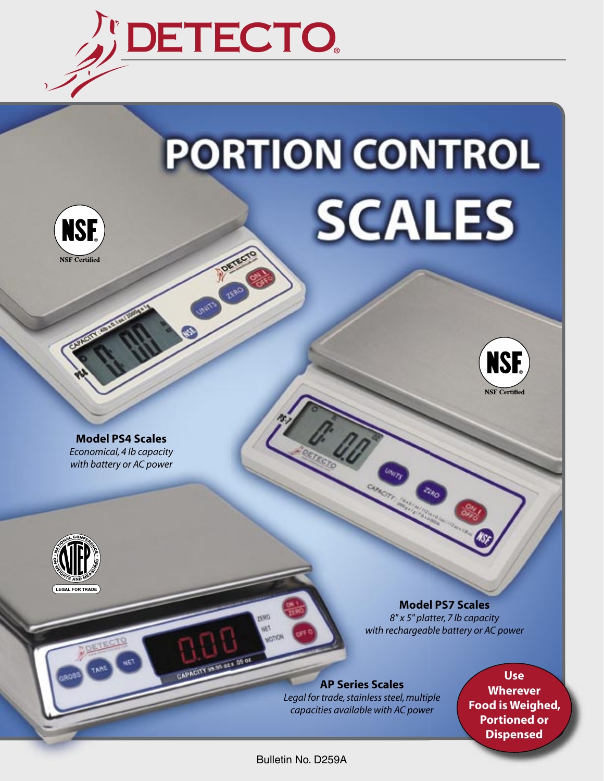

## **PORTION CONTROL SCALES CONTROL**





**Model PS4 Scales** *Economical, 4 lb capacity with battery or AC power*



**Model PS7 Scales** *8" x 5" platter, 7 lb capacity with rechargeable battery or AC power*

**AP Series Scales** *Legal for trade, stainless steel, multiple capacities available with AC power*

**Use Wherever Food is Weighed, Portioned or Dispensed**

Bulletin No. D259A

**MINCITY OF ONESE OF**